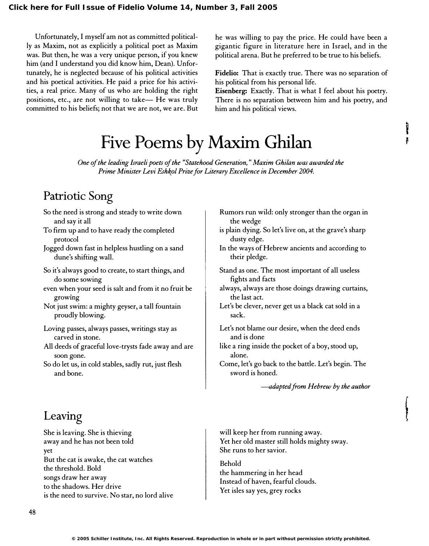Unfortunately, I myself am not as committed politically as Maxim, not as explicitly a political poet as Maxim was. But then, he was a very unique person, if you knew him (and I understand you did know him, Dean). Unfortunately, he is neglected because of his political activities and his poetical activities. He paid a price for his activities, a real price. Many of us who are holding the right positions, etc., are not willing to take- He was truly committed to his beliefs; not that we are not, we are. But he was willing to pay the price. He could have been a gigantic figure in literature here in Israel, and in the political arena. But he preferred to be true to his beliefs.

Fidelio: That is exactly true. There was no separation of his political from his personal life.

Eisenberg: Exactly. That is what I feel about his poetry. There is no separation between him and his poetry, and him and his political views.

> I ,

 $\int$ 

# Five Poems by Maxim Ghilan

One of the leading Israeli poets of the "Statehood Generation," Maxim Ghilan was awarded the Prime Minister Levi Eshkol Prize for Literary Excellence in December 2004.

# Patriotic Song

- So the need is strong and steady to write down and say it all
- To firm up and to have ready the completed protocol
- Jogged down fast in helpless hustling on a sand dune's shifting wall.
- So it's always good to create, to start things, and do some sowing
- even when your seed is salt and from it no fruit be growing
- Not just swim: a mighty geyser, a tall fountain proudly blowing.
- Loving passes, always passes, writings stay as carved in stone.
- All deeds of graceful love-trysts fade away and are soon gone.
- So do let us, in cold stables, sadly rut, just flesh and bone.
- Rumors run wild: only stronger than the organ in the wedge
- is plain dying. So let's live on, at the grave's sharp dusty edge.
- In the ways of Hebrew ancients and according to their pledge.
- Stand as one. The most important of all useless fights and facts
- always, always are those doings drawing curtains, the last act.
- Let's be clever, never get us a black cat sold in a sack.
- Let's not blame our desire, when the deed ends and is done
- like a ring inside the pocket of a boy, stood up, alone.
- Come, let's go back to the battle. Let's begin. The sword is honed.

--adapted from Hebrew by the author

# Leaving

She is leaving. She is thieving away and he has not been told yet But the cat is awake, the cat watches the threshold. Bold songs draw her away to the shadows. Her drive is the need to survive. No star, no lord alive

will keep her from running away. Yet her old master still holds mighty sway. She runs to her savior.

Behold the hammering in her head Instead of haven, fearful clouds. Yet isles say yes, grey rocks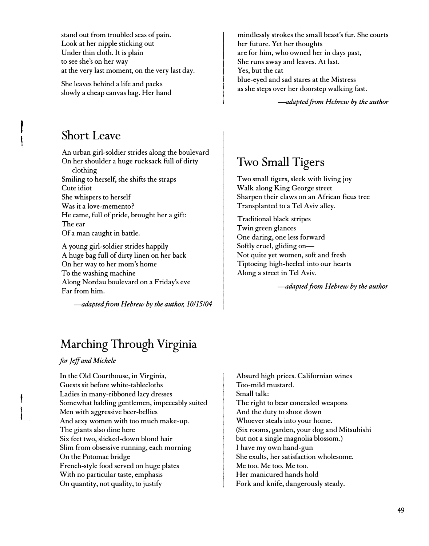stand out from troubled seas of pain. Look at her nipple sticking out Under thin cloth. It is plain to see she's on her way at the very last moment, on the very last day.

She leaves behind a life and packs slowly a cheap canvas bag. Her hand

### Short Leave

r i

> An urban girl-soldier strides along the boulevard On her shoulder a huge rucksack full of dirty

clothing Smiling to herself, she shifts the straps Cute idiot She whispers to herself Was it a love-memento? He came, full of pride, brought her a gift: The ear Of a man caught in battle.

A young girl-soldier strides happily A huge bag full of dirty linen on her back On her way to her mom's home To the washing machine Along Nordau boulevard on a Friday's eve Far from him.

-adapted from Hebrew by the author, 10/15/04

# Marching Through Virginia

#### for Jeff and Michele

In the Old Courthouse, in Virginia, Guests sit before white-tablecloths Ladies in many-ribboned lacy dresses Somewhat balding gentlemen, impeccably suited Men with aggressive beer-bellies And sexy women with too much make-up. The giants also dine here Six feet two, slicked-down blond hair Slim from obsessive running, each morning On the Potomac bridge French-style food served on huge plates With no particular taste, emphasis On quantity, not quality, to justify

mindlessly strokes the small beast's fur. She courts her future. Yet her thoughts are for him, who owned her in days past, She runs away and leaves. At last. Yes, but the cat blue-eyed and sad stares at the Mistress as she steps over her doorstep walking fast.

--adapted from Hebrew by the author

## Two Small Tigers

Two small tigers, sleek with living joy Walk along King George street Sharpen their claws on an African ficus tree Transplanted to a Tel Aviv alley.

Traditional black stripes Twin green glances One daring, one less forward Softly cruel, gliding on-Not quite yet women, soft and fresh Tiptoeing high-heeled into our hearts Along a street in Tel Aviv.

--adapted from Hebrew by the author

Absurd high prices. Californian wines Too-mild mustard. Small talk: The right to bear concealed weapons And the duty to shoot down Whoever steals into your home. (Six rooms, garden, your dog and Mitsubishi but not a single magnolia blossom.) I have my own hand-gun She exults, her satisfaction wholesome. Me too. Me too. Me too. Her manicured hands hold Fork and knife, dangerously steady.